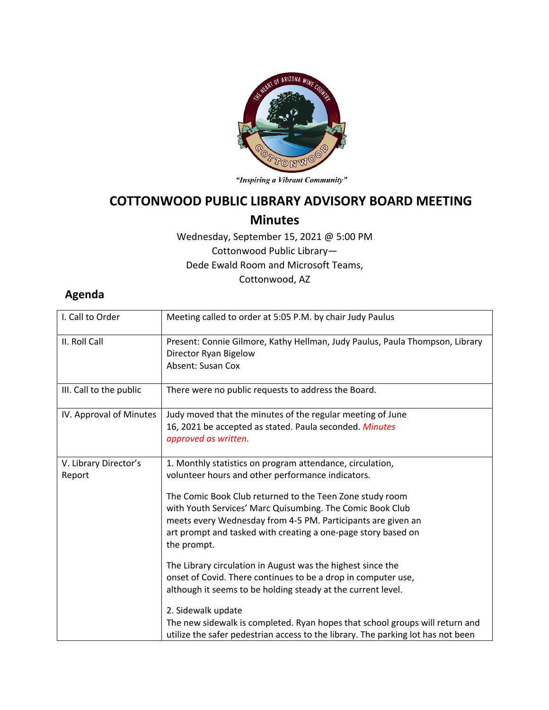

"Inspiring a Vibrant Community"

## **COTTONWOOD PUBLIC LIBRARY ADVISORY BOARD MEETING**

## **Minutes**

Wednesday, September 15, 2021 @ 5:00 PM Cottonwood Public Library— Dede Ewald Room and Microsoft Teams, Cottonwood, AZ

## **Agenda**

| I. Call to Order                | Meeting called to order at 5:05 P.M. by chair Judy Paulus                                                                                                                                                                                                                                                                                                                               |
|---------------------------------|-----------------------------------------------------------------------------------------------------------------------------------------------------------------------------------------------------------------------------------------------------------------------------------------------------------------------------------------------------------------------------------------|
| II. Roll Call                   | Present: Connie Gilmore, Kathy Hellman, Judy Paulus, Paula Thompson, Library<br>Director Ryan Bigelow<br>Absent: Susan Cox                                                                                                                                                                                                                                                              |
| III. Call to the public         | There were no public requests to address the Board.                                                                                                                                                                                                                                                                                                                                     |
| IV. Approval of Minutes         | Judy moved that the minutes of the regular meeting of June<br>16, 2021 be accepted as stated. Paula seconded. Minutes<br>approved as written.                                                                                                                                                                                                                                           |
| V. Library Director's<br>Report | 1. Monthly statistics on program attendance, circulation,<br>volunteer hours and other performance indicators.<br>The Comic Book Club returned to the Teen Zone study room<br>with Youth Services' Marc Quisumbing. The Comic Book Club<br>meets every Wednesday from 4-5 PM. Participants are given an<br>art prompt and tasked with creating a one-page story based on<br>the prompt. |
|                                 | The Library circulation in August was the highest since the<br>onset of Covid. There continues to be a drop in computer use,<br>although it seems to be holding steady at the current level.<br>2. Sidewalk update<br>The new sidewalk is completed. Ryan hopes that school groups will return and<br>utilize the safer pedestrian access to the library. The parking lot has not been  |